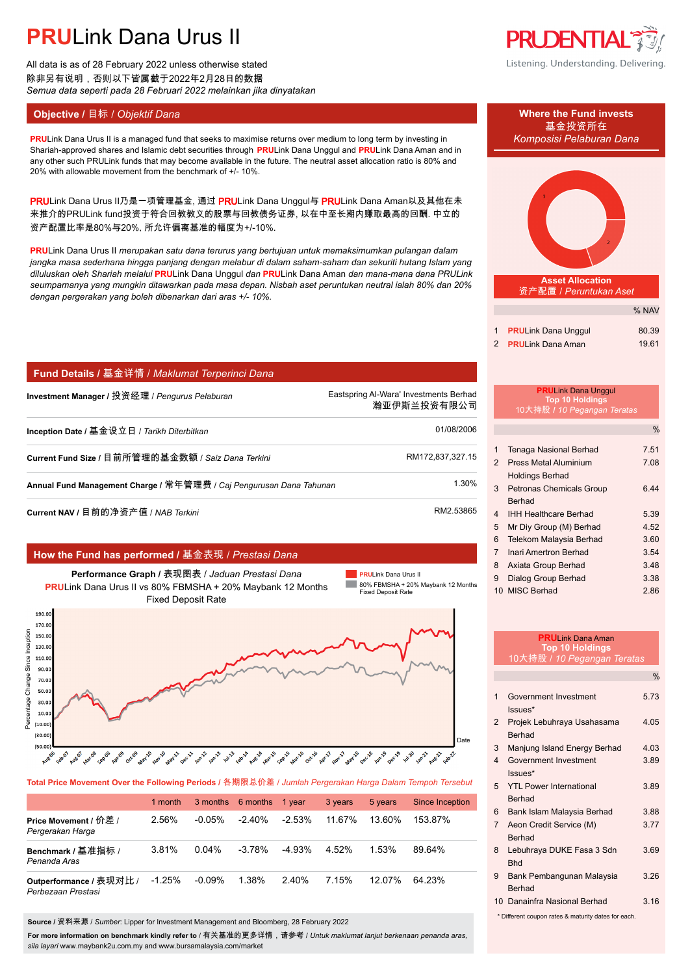All data is as of 28 February 2022 unless otherwise stated 除非另有说明,否则以下皆属截于2022年2月28日的数据 *Semua data seperti pada 28 Februari 2022 melainkan jika dinyatakan*

## **Objective /** 目标 / *Objektif Dana* **Where the Fund invests**

**PRULink Dana Urus II is a managed fund that seeks to maximise returns over medium to long term by investing in** *Komposisi Pelaburan Dana* Shariah-approved shares and Islamic debt securities through **PRU**Link Dana Unggul and **PRU**Link Dana Aman and in any other such PRULink funds that may become available in the future. The neutral asset allocation ratio is 80% and 20% with allowable movement from the benchmark of +/- 10%.

PRULink Dana Urus II乃是一项管理基金, 通过 PRULink Dana Unggul与 PRULink Dana Aman以及其他在未 来推介的PRULink fund投资于符合回教教义的股票与回教债务证券, 以在中至长期内赚取最高的回酬. 中立的 资产配置比率是80%与20%, 所允许偏离基准的幅度为+/-10%.

**PRU**Link Dana Urus II *merupakan satu dana terurus yang bertujuan untuk memaksimumkan pulangan dalam jangka masa sederhana hingga panjang dengan melabur di dalam saham-saham dan sekuriti hutang Islam yang diluluskan oleh Shariah melalui* **PRU**Link Dana Unggul *dan* **PRU**Link Dana Aman *dan mana-mana dana PRULink seumpamanya yang mungkin ditawarkan pada masa depan. Nisbah aset peruntukan neutral ialah 80% dan 20% dengan pergerakan yang boleh dibenarkan dari aras +/- 10%.*

## **Fund Details /** 基金详情 / *Maklumat Terperinci Dana*

**Investment Manager /** 投资经理 / *Pengurus Pelaburan* Eastspring Al-Wara' Investments Berhad.

**Inception Date /** 基金设立日 / *Tarikh Diterbitkan* 01/08/2006.

**Current Fund Size / 目前所管理的基金数额 / Saiz Dana Terkini RM172,837,327.15.** RM172,837,327.15

**Annual Fund Management Charge /** 常年管理费 / *Caj Pengurusan Dana Tahunan* 1.30%.

**Current NAV /** 目前的净资产值 / *NAB Terkini* RM2.53865

## **How the Fund has performed /** 基金表现 / *Prestasi Dana*



**Total Price Movement Over the Following Periods /** 各期限总价差 / *Jumlah Pergerakan Harga Dalam Tempoh Tersebut*

|                                               | 1 month  |           | 3 months 6 months | 1 year   | 3 years | 5 years | Since Inception |
|-----------------------------------------------|----------|-----------|-------------------|----------|---------|---------|-----------------|
| Price Movement / 价差 /<br>Pergerakan Harga     | 2.56%    | $-0.05\%$ | $-2.40\%$         | $-2.53%$ | 11.67%  | 13.60%  | 153.87%         |
| Benchmark / 基准指标 /<br>Penanda Aras            | 3.81%    | $0.04\%$  | $-3.78%$          | $-4.93%$ | 4.52%   | 1.53%   | 89.64%          |
| Outperformance / 表现对比 /<br>Perbezaan Prestasi | $-1.25%$ | $-0.09%$  | 1.38%             | 2.40%    | 7.15%   | 12.07%  | 64 23%          |

**Source /** 资料来源 / *Sumber*: Lipper for Investment Management and Bloomberg, 28 February 2022

**For more information on benchmark kindly refer to** / 有关基准的更多详情,请参考 / *Untuk maklumat lanjut berkenaan penanda aras, sila layari* www.maybank2u.com.my and www.bursamalaysia.com/market



Listening. Understanding. Delivering.





**Asset Allocation** 资产配置 / *Peruntukan Aset*

|                            | % NAV |
|----------------------------|-------|
|                            |       |
| 1 PRULink Dana Unggul      | 80.39 |
| 2 <b>PRULink Dana Aman</b> | 19.61 |

|                | <b>PRULink Dana Unggul</b><br><b>Top 10 Holdings</b><br>10大持股 / 10 Pegangan Teratas |      |
|----------------|-------------------------------------------------------------------------------------|------|
|                |                                                                                     | $\%$ |
| 1              | Tenaga Nasional Berhad                                                              | 7.51 |
| $\overline{2}$ | <b>Press Metal Aluminium</b>                                                        | 7.08 |
|                | <b>Holdings Berhad</b>                                                              |      |
| 3              | <b>Petronas Chemicals Group</b>                                                     | 6.44 |
|                | Berhad                                                                              |      |
| 4              | <b>IHH Healthcare Berhad</b>                                                        | 5.39 |
| 5              | Mr Diy Group (M) Berhad                                                             | 4.52 |
| 6              | Telekom Malaysia Berhad                                                             | 3.60 |
| $\overline{7}$ | Inari Amertron Berhad                                                               | 3.54 |
| 8              | Axiata Group Berhad                                                                 | 3.48 |
| 9              | Dialog Group Berhad                                                                 | 3.38 |
| 10             | <b>MISC Berhad</b>                                                                  | 2.86 |

瀚亚伊斯兰投资有限公司.

| <b>PRUI</b> ink Dana Aman<br><b>Top 10 Holdings</b> |                                             |               |  |
|-----------------------------------------------------|---------------------------------------------|---------------|--|
|                                                     | 10大持股 / 10 Pegangan Teratas                 |               |  |
|                                                     |                                             | $\frac{0}{0}$ |  |
| 1                                                   | Government Investment                       | 5.73          |  |
|                                                     | Issues*                                     |               |  |
| $\mathcal{P}$                                       | Projek Lebuhraya Usahasama<br><b>Berhad</b> | 4 0 5         |  |
| 3                                                   | Manjung Island Energy Berhad                | 4 0 3         |  |
| $\overline{\mathbf{4}}$                             | Government Investment                       | 3.89          |  |
|                                                     | Issues*                                     |               |  |
| 5                                                   | <b>YTI Power International</b>              | 3.89          |  |
|                                                     | <b>Berhad</b>                               |               |  |
| 6                                                   | Bank Islam Malaysia Berhad                  | 3.88          |  |
| $\overline{7}$                                      | Aeon Credit Service (M)                     | 377           |  |
|                                                     | <b>Berhad</b>                               |               |  |
| 8                                                   | Lebuhraya DUKE Fasa 3 Sdn                   | 3.69          |  |
|                                                     | <b>Bhd</b>                                  |               |  |
| 9                                                   | Bank Pembangunan Malaysia                   | 3.26          |  |
|                                                     | <b>Berhad</b>                               |               |  |
|                                                     | 10 Danainfra Nasional Berhad                | 3.16          |  |
| * Different coupon rates & maturity dates for each. |                                             |               |  |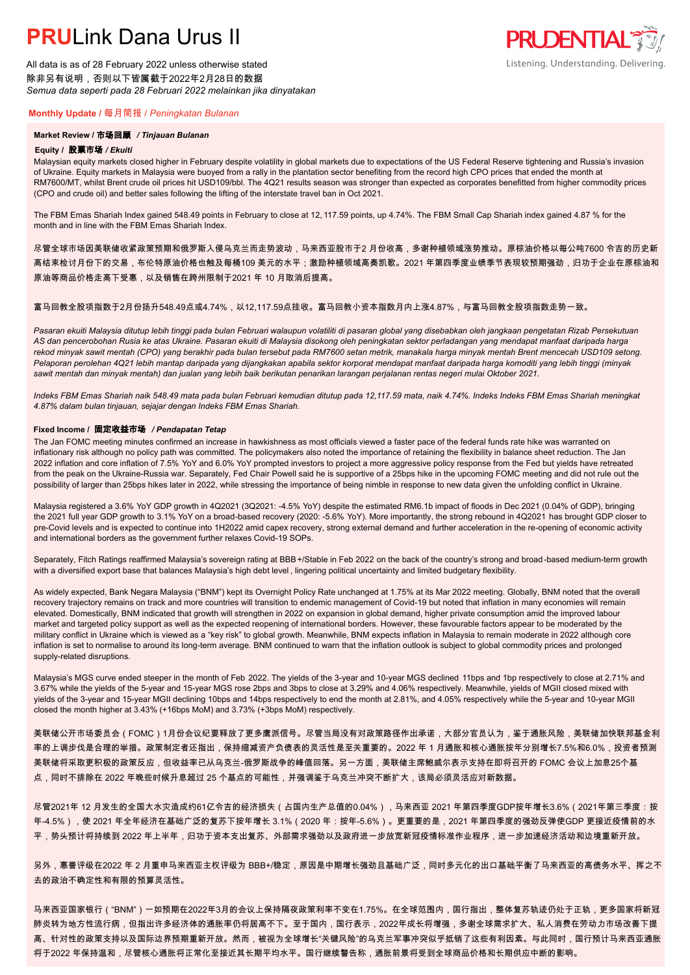All data is as of 28 February 2022 unless otherwise stated 除非另有说明,否则以下皆属截于2022年2月28日的数据 *Semua data seperti pada 28 Februari 2022 melainkan jika dinyatakan*

### **Monthly Update /** 每月简报 / *Peningkatan Bulanan*

### **Market Review /** 市场回顾 */ Tinjauan Bulanan*

#### **Equity /** 股票市场 */ Ekuiti.*

Malaysian equity markets closed higher in February despite volatility in global markets due to expectations of the US Federal Reserve tightening and Russia's invasion of Ukraine. Equity markets in Malaysia were buoyed from a rally in the plantation sector benefiting from the record high CPO prices that ended the month at RM7600/MT, whilst Brent crude oil prices hit USD109/bbl. The 4Q21 results season was stronger than expected as corporates benefitted from higher commodity prices (CPO and crude oil) and better sales following the lifting of the interstate travel ban in Oct 2021.

The FBM Emas Shariah Index gained 548.49 points in February to close at 12, 117.59 points, up 4.74%. The FBM Small Cap Shariah index gained 4.87 % for the month and in line with the FBM Emas Shariah Index.

尽管全球市场因美联储收紧政策预期和俄罗斯入侵乌克兰而走势波动,马来西亚股市于2 月份收高,多谢种植领域涨势推动。原棕油价格以每公吨7600 令吉的历史新 高结束检讨月份下的交易,布伦特原油价格也触及每桶109 美元的水平;激励种植领域高奏凯歌。2021 年第四季度业绩季节表现较预期强劲,归功于企业在原棕油和 原油等商品价格走高下受惠,以及销售在跨州限制于2021 年 10 月取消后提高。

## 富马回教全股项指数于2月份扬升548.49点或4.74%,以12.117.59点挂收。富马回教小资本指数月内上涨4.87%,与富马回教全股项指数走势一致。

*Pasaran ekuiti Malaysia ditutup lebih tinggi pada bulan Februari walaupun volatiliti di pasaran global yang disebabkan oleh jangkaan pengetatan Rizab Persekutuan AS dan pencerobohan Rusia ke atas Ukraine. Pasaran ekuiti di Malaysia disokong oleh peningkatan sektor perladangan yang mendapat manfaat daripada harga rekod minyak sawit mentah (CPO) yang berakhir pada bulan tersebut pada RM7600 setan metrik, manakala harga minyak mentah Brent mencecah USD109 setong. Pelaporan perolehan 4Q21 lebih mantap daripada yang dijangkakan apabila sektor korporat mendapat manfaat daripada harga komoditi yang lebih tinggi (minyak sawit mentah dan minyak mentah) dan jualan yang lebih baik berikutan penarikan larangan perjalanan rentas negeri mulai Oktober 2021.*

*Indeks FBM Emas Shariah naik 548.49 mata pada bulan Februari kemudian ditutup pada 12,117.59 mata, naik 4.74%. Indeks Indeks FBM Emas Shariah meningkat 4.87% dalam bulan tinjauan, sejajar dengan Indeks FBM Emas Shariah.*

#### **Fixed Income /** 固定收益市场 */ Pendapatan Tetap*

*.* The Jan FOMC meeting minutes confirmed an increase in hawkishness as most officials viewed a faster pace of the federal funds rate hike was warranted on inflationary risk although no policy path was committed. The policymakers also noted the importance of retaining the flexibility in balance sheet reduction. The Jan 2022 inflation and core inflation of 7.5% YoY and 6.0% YoY prompted investors to project a more aggressive policy response from the Fed but yields have retreated from the peak on the Ukraine-Russia war. Separately, Fed Chair Powell said he is supportive of a 25bps hike in the upcoming FOMC meeting and did not rule out the possibility of larger than 25bps hikes later in 2022, while stressing the importance of being nimble in response to new data given the unfolding conflict in Ukraine.

Malaysia registered a 3.6% YoY GDP growth in 4Q2021 (3Q2021: -4.5% YoY) despite the estimated RM6.1b impact of floods in Dec 2021 (0.04% of GDP), bringing the 2021 full year GDP growth to 3.1% YoY on a broad-based recovery (2020: -5.6% YoY). More importantly, the strong rebound in 4Q2021 has brought GDP closer to pre-Covid levels and is expected to continue into 1H2022 amid capex recovery, strong external demand and further acceleration in the re-opening of economic activity and international borders as the government further relaxes Covid-19 SOPs.

Separately, Fitch Ratings reaffirmed Malaysia's sovereign rating at BBB+/Stable in Feb 2022 on the back of the country's strong and broad-based medium-term growth with a diversified export base that balances Malaysia's high debt level , lingering political uncertainty and limited budgetary flexibility.

As widely expected, Bank Negara Malaysia ("BNM") kept its Overnight Policy Rate unchanged at 1.75% at its Mar 2022 meeting. Globally, BNM noted that the overall recovery trajectory remains on track and more countries will transition to endemic management of Covid-19 but noted that inflation in many economies will remain elevated. Domestically, BNM indicated that growth will strengthen in 2022 on expansion in global demand, higher private consumption amid the improved labour market and targeted policy support as well as the expected reopening of international borders. However, these favourable factors appear to be moderated by the military conflict in Ukraine which is viewed as a "key risk" to global growth. Meanwhile, BNM expects inflation in Malaysia to remain moderate in 2022 although core inflation is set to normalise to around its long-term average. BNM continued to warn that the inflation outlook is subject to global commodity prices and prolonged supply-related disruptions.

Malaysia's MGS curve ended steeper in the month of Feb 2022. The yields of the 3-year and 10-year MGS declined 11bps and 1bp respectively to close at 2.71% and 3.67% while the yields of the 5-year and 15-year MGS rose 2bps and 3bps to close at 3.29% and 4.06% respectively. Meanwhile, yields of MGII closed mixed with yields of the 3-year and 15-year MGII declining 10bps and 14bps respectively to end the month at 2.81%, and 4.05% respectively while the 5-year and 10-year MGII closed the month higher at 3.43% (+16bps MoM) and 3.73% (+3bps MoM) respectively.

美联储公开市场委员会(FOMC)1月份会议纪要释放了更多鹰派信号。尽管当局没有对政策路径作出承诺,大部分官员认为,鉴于通胀风险,美联储加快联邦基金利 率的上调步伐是合理的举措。政策制定者还指出,保持缩减资产负债表的灵活性是至关重要的。2022 年 1 月通胀和核心通胀按年分别增长7.5%和6.0%,投资者预测 美联储将采取更积极的政策反应,但收益率已从乌克兰-俄罗斯战争的峰值回落。另一方面,美联储主席鲍威尔表示支持在即将召开的 FOMC 会议上加息25个基 点,同时不排除在 2022 年晚些时候升息超过 25 个基点的可能性,并强调鉴于乌克兰冲突不断扩大,该局必须灵活应对新数据。

尽管2021年 12 月发生的全国大水灾造成约61亿令吉的经济损失(占国内生产总值的0.04%),马来西亚 2021 年第四季度GDP按年增长3.6%(2021年第三季度:按 年-4.5%),使 2021 年全年经济在基础广泛的复苏下按年增长 3.1%(2020 年:按年-5.6%)。更重要的是,2021 年第四季度的强劲反弹使GDP 更接近疫情前的水 平,势头预计将持续到 2022 年上半年,归功于资本支出复苏、外部需求强劲以及政府进一步放宽新冠疫情标准作业程序,进一步加速经济活动和边境重新开放。

另外,惠誉评级在2022 年 2 月重申马来西亚主权评级为 BBB+/稳定,原因是中期增长强劲且基础广泛,同时多元化的出口基础平衡了马来西亚的高债务水平、挥之不 去的政治不确定性和有限的预算灵活性。

马来西亚国家银行("BNM")一如预期在2022年3月的会议上保持隔夜政策利率不变在1.75%。在全球范围内,国行指出,整体复苏轨迹仍处于正轨,更多国家将新冠 肺炎转为地方性流行病,但指出许多经济体的通胀率仍将居高不下。至于国内,国行表示,2022年成长将增强,多谢全球需求扩大、私人消费在劳动力市场改善下提 高、针对性的政策支持以及国际边界预期重新开放。然而,被视为全球增长"关键风险"的乌克兰军事冲突似乎抵销了这些有利因素。与此同时,国行预计马来西亚通胀 将于2022 年保持温和,尽管核心通胀将正常化至接近其长期平均水平。国行继续警告称,通胀前景将受到全球商品价格和长期供应中断的影响。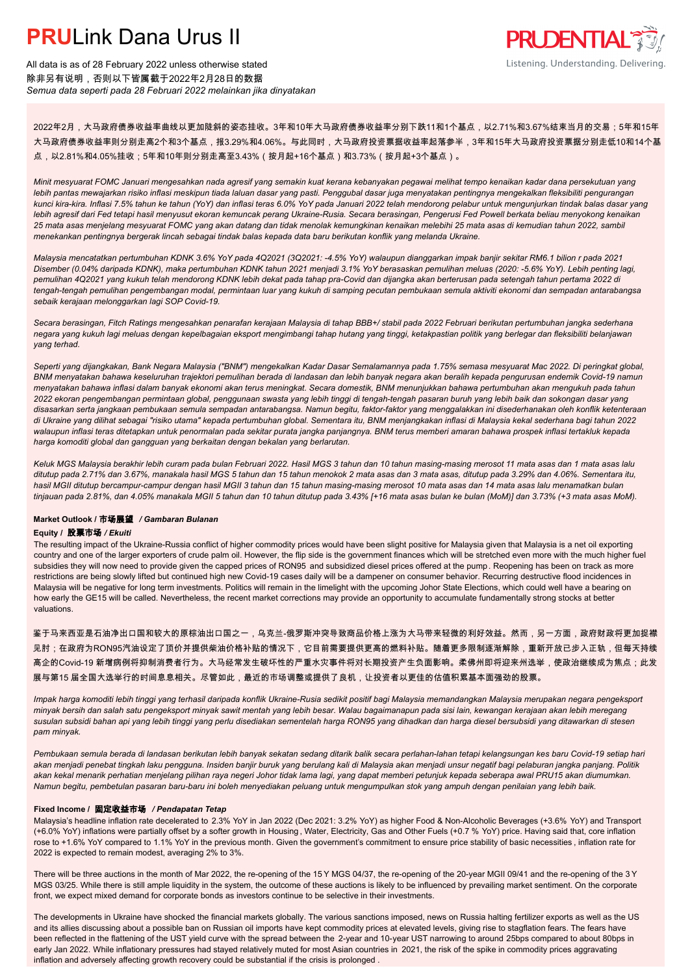

All data is as of 28 February 2022 unless otherwise stated 除非另有说明,否则以下皆属截于2022年2月28日的数据 *Semua data seperti pada 28 Februari 2022 melainkan jika dinyatakan*

2022年2月,大马政府债券收益率曲线以更加陡斜的姿态挂收。3年和10年大马政府债券收益率分别下跌11和1个基点,以2.71%和3.67%结束当月的交易;5年和15年 大马政府债券收益率则分别走高2个和3个基点,报3.29%和4.06%。与此同时,大马政府投资票据收益率起落参半,3年和15年大马政府投资票据分别走低10和14个基 点,以2.81%和4.05%挂收;5年和10年则分别走高至3.43%(按月起+16个基点)和3.73%(按月起+3个基点)。

*Minit mesyuarat FOMC Januari mengesahkan nada agresif yang semakin kuat kerana kebanyakan pegawai melihat tempo kenaikan kadar dana persekutuan yang lebih pantas mewajarkan risiko inflasi meskipun tiada laluan dasar yang pasti. Penggubal dasar juga menyatakan pentingnya mengekalkan fleksibiliti pengurangan kunci kira-kira. Inflasi 7.5% tahun ke tahun (YoY) dan inflasi teras 6.0% YoY pada Januari 2022 telah mendorong pelabur untuk mengunjurkan tindak balas dasar yang lebih agresif dari Fed tetapi hasil menyusut ekoran kemuncak perang Ukraine-Rusia. Secara berasingan, Pengerusi Fed Powell berkata beliau menyokong kenaikan 25 mata asas menjelang mesyuarat FOMC yang akan datang dan tidak menolak kemungkinan kenaikan melebihi 25 mata asas di kemudian tahun 2022, sambil menekankan pentingnya bergerak lincah sebagai tindak balas kepada data baru berikutan konflik yang melanda Ukraine.*

*Malaysia mencatatkan pertumbuhan KDNK 3.6% YoY pada 4Q2021 (3Q2021: -4.5% YoY) walaupun dianggarkan impak banjir sekitar RM6.1 bilion r pada 2021 Disember (0.04% daripada KDNK), maka pertumbuhan KDNK tahun 2021 menjadi 3.1% YoY berasaskan pemulihan meluas (2020: -5.6% YoY). Lebih penting lagi, pemulihan 4Q2021 yang kukuh telah mendorong KDNK lebih dekat pada tahap pra-Covid dan dijangka akan berterusan pada setengah tahun pertama 2022 di tengah-tengah pemulihan pengembangan modal, permintaan luar yang kukuh di samping pecutan pembukaan semula aktiviti ekonomi dan sempadan antarabangsa sebaik kerajaan melonggarkan lagi SOP Covid-19.*

*Secara berasingan, Fitch Ratings mengesahkan penarafan kerajaan Malaysia di tahap BBB+/ stabil pada 2022 Februari berikutan pertumbuhan jangka sederhana negara yang kukuh lagi meluas dengan kepelbagaian eksport mengimbangi tahap hutang yang tinggi, ketakpastian politik yang berlegar dan fleksibiliti belanjawan yang terhad.*

*Seperti yang dijangkakan, Bank Negara Malaysia ("BNM") mengekalkan Kadar Dasar Semalamannya pada 1.75% semasa mesyuarat Mac 2022. Di peringkat global, BNM menyatakan bahawa keseluruhan trajektori pemulihan berada di landasan dan lebih banyak negara akan beralih kepada pengurusan endemik Covid-19 namun menyatakan bahawa inflasi dalam banyak ekonomi akan terus meningkat. Secara domestik, BNM menunjukkan bahawa pertumbuhan akan mengukuh pada tahun 2022 ekoran pengembangan permintaan global, penggunaan swasta yang lebih tinggi di tengah-tengah pasaran buruh yang lebih baik dan sokongan dasar yang disasarkan serta jangkaan pembukaan semula sempadan antarabangsa. Namun begitu, faktor-faktor yang menggalakkan ini disederhanakan oleh konflik ketenteraan di Ukraine yang dilihat sebagai "risiko utama" kepada pertumbuhan global. Sementara itu, BNM menjangkakan inflasi di Malaysia kekal sederhana bagi tahun 2022 walaupun inflasi teras ditetapkan untuk penormalan pada sekitar purata jangka panjangnya. BNM terus memberi amaran bahawa prospek inflasi tertakluk kepada harga komoditi global dan gangguan yang berkaitan dengan bekalan yang berlarutan.*

*Keluk MGS Malaysia berakhir lebih curam pada bulan Februari 2022. Hasil MGS 3 tahun dan 10 tahun masing-masing merosot 11 mata asas dan 1 mata asas lalu ditutup pada 2.71% dan 3.67%, manakala hasil MGS 5 tahun dan 15 tahun menokok 2 mata asas dan 3 mata asas, ditutup pada 3.29% dan 4.06%. Sementara itu, hasil MGII ditutup bercampur-campur dengan hasil MGII 3 tahun dan 15 tahun masing-masing merosot 10 mata asas dan 14 mata asas lalu menamatkan bulan tinjauan pada 2.81%, dan 4.05% manakala MGII 5 tahun dan 10 tahun ditutup pada 3.43% [+16 mata asas bulan ke bulan (MoM)] dan 3.73% (+3 mata asas MoM).*

#### **Market Outlook /** 市场展望 */ Gambaran Bulanan*

#### **Equity /** 股票市场 */ Ekuiti .*

The resulting impact of the Ukraine-Russia conflict of higher commodity prices would have been slight positive for Malaysia given that Malaysia is a net oil exporting country and one of the larger exporters of crude palm oil. However, the flip side is the government finances which will be stretched even more with the much higher fuel subsidies they will now need to provide given the capped prices of RON95 and subsidized diesel prices offered at the pump. Reopening has been on track as more restrictions are being slowly lifted but continued high new Covid-19 cases daily will be a dampener on consumer behavior. Recurring destructive flood incidences in Malaysia will be negative for long term investments. Politics will remain in the limelight with the upcoming Johor State Elections, which could well have a bearing on how early the GE15 will be called. Nevertheless, the recent market corrections may provide an opportunity to accumulate fundamentally strong stocks at better valuations.

鉴于马来西亚是石油净出口国和较大的原棕油出口国之一,乌克兰-俄罗斯冲突导致商品价格上涨为大马带来轻微的利好效益。然而,另一方面,政府财政将更加捉襟 见肘;在政府为RON95汽油设定了顶价并提供柴油价格补贴的情况下,它目前需要提供更高的燃料补贴。随着更多限制逐渐解除,重新开放已步入正轨,但每天持续 高企的Covid-19 新增病例将抑制消费者行为。大马经常发生破坏性的严重水灾事件将对长期投资产生负面影响。柔佛州即将迎来州选举,使政治继续成为焦点;此发 展与第15 届全国大选举行的时间息息相关。尽管如此,最近的市场调整或提供了良机,让投资者以更佳的估值积累基本面强劲的股票。

*Impak harga komoditi lebih tinggi yang terhasil daripada konflik Ukraine-Rusia sedikit positif bagi Malaysia memandangkan Malaysia merupakan negara pengeksport minyak bersih dan salah satu pengeksport minyak sawit mentah yang lebih besar. Walau bagaimanapun pada sisi lain, kewangan kerajaan akan lebih meregang susulan subsidi bahan api yang lebih tinggi yang perlu disediakan sementelah harga RON95 yang dihadkan dan harga diesel bersubsidi yang ditawarkan di stesen pam minyak.*

*Pembukaan semula berada di landasan berikutan lebih banyak sekatan sedang ditarik balik secara perlahan-lahan tetapi kelangsungan kes baru Covid-19 setiap hari akan menjadi penebat tingkah laku pengguna. Insiden banjir buruk yang berulang kali di Malaysia akan menjadi unsur negatif bagi pelaburan jangka panjang. Politik akan kekal menarik perhatian menjelang pilihan raya negeri Johor tidak lama lagi, yang dapat memberi petunjuk kepada seberapa awal PRU15 akan diumumkan. Namun begitu, pembetulan pasaran baru-baru ini boleh menyediakan peluang untuk mengumpulkan stok yang ampuh dengan penilaian yang lebih baik.*

### **Fixed Income /** 固定收益市场 */ Pendapatan Tetap*

*.* Malaysia's headline inflation rate decelerated to 2.3% YoY in Jan 2022 (Dec 2021: 3.2% YoY) as higher Food & Non-Alcoholic Beverages (+3.6% YoY) and Transport (+6.0% YoY) inflations were partially offset by a softer growth in Housing , Water, Electricity, Gas and Other Fuels (+0.7 % YoY) price. Having said that, core inflation rose to +1.6% YoY compared to 1.1% YoY in the previous month. Given the government's commitment to ensure price stability of basic necessities , inflation rate for 2022 is expected to remain modest, averaging 2% to 3%.

There will be three auctions in the month of Mar 2022, the re-opening of the 15 Y MGS 04/37, the re-opening of the 20-year MGII 09/41 and the re-opening of the 3 Y MGS 03/25. While there is still ample liquidity in the system, the outcome of these auctions is likely to be influenced by prevailing market sentiment. On the corporate front, we expect mixed demand for corporate bonds as investors continue to be selective in their investments.

The developments in Ukraine have shocked the financial markets globally. The various sanctions imposed, news on Russia halting fertilizer exports as well as the US and its allies discussing about a possible ban on Russian oil imports have kept commodity prices at elevated levels, giving rise to stagflation fears. The fears have been reflected in the flattening of the UST yield curve with the spread between the 2-year and 10-year UST narrowing to around 25bps compared to about 80bps in early Jan 2022. While inflationary pressures had stayed relatively muted for most Asian countries in 2021, the risk of the spike in commodity prices aggravating inflation and adversely affecting growth recovery could be substantial if the crisis is prolonged .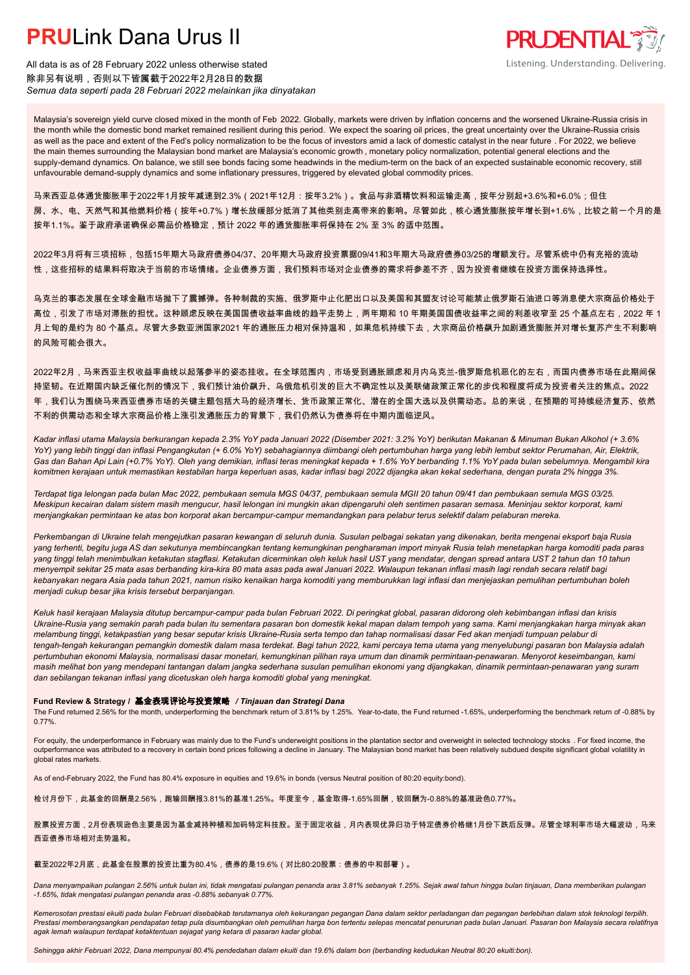

All data is as of 28 February 2022 unless otherwise stated 除非另有说明,否则以下皆属截于2022年2月28日的数据 *Semua data seperti pada 28 Februari 2022 melainkan jika dinyatakan*

Malaysia's sovereign yield curve closed mixed in the month of Feb 2022. Globally, markets were driven by inflation concerns and the worsened Ukraine-Russia crisis in the month while the domestic bond market remained resilient during this period. We expect the soaring oil prices, the great uncertainty over the Ukraine-Russia crisis as well as the pace and extent of the Fed's policy normalization to be the focus of investors amid a lack of domestic catalyst in the near future . For 2022, we believe the main themes surrounding the Malaysian bond market are Malaysia's economic growth , monetary policy normalization, potential general elections and the supply-demand dynamics. On balance, we still see bonds facing some headwinds in the medium-term on the back of an expected sustainable economic recovery, still unfavourable demand-supply dynamics and some inflationary pressures, triggered by elevated global commodity prices.

马来西亚总体通货膨胀率于2022年1月按年减速到2.3%(2021年12月:按年3.2%)。食品与非酒精饮料和运输走高,按年分别起+3.6%和+6.0%;但住 房、水、电、天然气和其他燃料价格(按年+0.7%)增长放缓部分抵消了其他类别走高带来的影响。尽管如此,核心通货膨胀按年增长到+1.6%,比较之前一个月的是 按年1.1%。鉴于政府承诺确保必需品价格稳定,预计 2022 年的通货膨胀率将保持在 2% 至 3% 的适中范围。

2022年3月将有三项招标,包括15年期大马政府债券04/37、20年期大马政府投资票据09/41和3年期大马政府债券03/25的增额发行。尽管系统中仍有充裕的流动 性,这些招标的结果料将取决于当前的市场情绪。企业债券方面,我们预料市场对企业债券的需求将参差不齐,因为投资者继续在投资方面保持选择性。

乌克兰的事态发展在全球金融市场抛下了震撼弹。各种制裁的实施、俄罗斯中止化肥出口以及美国和其盟友讨论可能禁止俄罗斯石油进口等消息使大宗商品价格处于 高位,引发了市场对滞胀的担忧。这种顾虑反映在美国国债收益率曲线的趋平走势上,两年期和 10 年期美国国债收益率之间的利差收窄至 25 个基点左右,2022 年 1 月上旬的是约为 80 个基点。尽管大多数亚洲国家2021 年的通胀压力相对保持温和,如果危机持续下去,大宗商品价格飙升加剧通货膨胀并对增长复苏产生不利影响 的风险可能会很大。

2022年2月,马来西亚主权收益率曲线以起落参半的姿态挂收。在全球范围内,市场受到通胀顾虑和月内乌克兰-俄罗斯危机恶化的左右,而国内债券市场在此期间保 持坚韧。在近期国内缺乏催化剂的情况下,我们预计油价飙升、乌俄危机引发的巨大不确定性以及美联储政策正常化的步伐和程度将成为投资者关注的焦点。2022 年,我们认为围绕马来西亚债券市场的关键主题包括大马的经济增长、货币政策正常化、潜在的全国大选以及供需动态。总的来说,在预期的可持续经济复苏、依然 不利的供需动态和全球大宗商品价格上涨引发通胀压力的背景下,我们仍然认为债券将在中期内面临逆风。

*Kadar inflasi utama Malaysia berkurangan kepada 2.3% YoY pada Januari 2022 (Disember 2021: 3.2% YoY) berikutan Makanan & Minuman Bukan Alkohol (+ 3.6% YoY) yang lebih tinggi dan inflasi Pengangkutan (+ 6.0% YoY) sebahagiannya diimbangi oleh pertumbuhan harga yang lebih lembut sektor Perumahan, Air, Elektrik, Gas dan Bahan Api Lain (+0.7% YoY). Oleh yang demikian, inflasi teras meningkat kepada + 1.6% YoY berbanding 1.1% YoY pada bulan sebelumnya. Mengambil kira komitmen kerajaan untuk memastikan kestabilan harga keperluan asas, kadar inflasi bagi 2022 dijangka akan kekal sederhana, dengan purata 2% hingga 3%.*

*Terdapat tiga lelongan pada bulan Mac 2022, pembukaan semula MGS 04/37, pembukaan semula MGII 20 tahun 09/41 dan pembukaan semula MGS 03/25. Meskipun kecairan dalam sistem masih mengucur, hasil lelongan ini mungkin akan dipengaruhi oleh sentimen pasaran semasa. Meninjau sektor korporat, kami menjangkakan permintaan ke atas bon korporat akan bercampur-campur memandangkan para pelabur terus selektif dalam pelaburan mereka.*

*Perkembangan di Ukraine telah mengejutkan pasaran kewangan di seluruh dunia. Susulan pelbagai sekatan yang dikenakan, berita mengenai eksport baja Rusia yang terhenti, begitu juga AS dan sekutunya membincangkan tentang kemungkinan pengharaman import minyak Rusia telah menetapkan harga komoditi pada paras yang tinggi telah menimbulkan ketakutan stagflasi. Ketakutan dicerminkan oleh keluk hasil UST yang mendatar, dengan spread antara UST 2 tahun dan 10 tahun menyempit sekitar 25 mata asas berbanding kira-kira 80 mata asas pada awal Januari 2022. Walaupun tekanan inflasi masih lagi rendah secara relatif bagi kebanyakan negara Asia pada tahun 2021, namun risiko kenaikan harga komoditi yang memburukkan lagi inflasi dan menjejaskan pemulihan pertumbuhan boleh menjadi cukup besar jika krisis tersebut berpanjangan.*

*Keluk hasil kerajaan Malaysia ditutup bercampur-campur pada bulan Februari 2022. Di peringkat global, pasaran didorong oleh kebimbangan inflasi dan krisis Ukraine-Rusia yang semakin parah pada bulan itu sementara pasaran bon domestik kekal mapan dalam tempoh yang sama. Kami menjangkakan harga minyak akan melambung tinggi, ketakpastian yang besar seputar krisis Ukraine-Rusia serta tempo dan tahap normalisasi dasar Fed akan menjadi tumpuan pelabur di tengah-tengah kekurangan pemangkin domestik dalam masa terdekat. Bagi tahun 2022, kami percaya tema utama yang menyelubungi pasaran bon Malaysia adalah pertumbuhan ekonomi Malaysia, normalisasi dasar monetari, kemungkinan pilihan raya umum dan dinamik permintaan-penawaran. Menyorot keseimbangan, kami masih melihat bon yang mendepani tantangan dalam jangka sederhana susulan pemulihan ekonomi yang dijangkakan, dinamik permintaan-penawaran yang suram dan sebilangan tekanan inflasi yang dicetuskan oleh harga komoditi global yang meningkat.*

## **Fund Review & Strategy /** 基金表现评论与投资策略 */ Tinjauan dan Strategi Dana*

The Fund returned 2.56% for the month, underperforming the benchmark return of 3.81% by 1.25%. Year-to-date, the Fund returned -1.65%, underperforming the benchmark return of -0.88% by 0.77%.

For equity, the underperformance in February was mainly due to the Fund's underweight positions in the plantation sector and overweight in selected technology stocks . For fixed income, the outperformance was attributed to a recovery in certain bond prices following a decline in January. The Malaysian bond market has been relatively subdued despite significant global volatility in global rates markets.

As of end-February 2022, the Fund has 80.4% exposure in equities and 19.6% in bonds (versus Neutral position of 80:20 equity:bond).

检讨月份下,此基金的回酬是2.56%,跑输回酬报3.81%的基准1.25%。年度至今,基金取得-1.65%回酬,较回酬为-0.88%的基准逊色0.77%。

股票投资方面,2月份表现逊色主要是因为基金减持种植和加码特定科技股。至于固定收益,月内表现优异归功于特定债券价格继1月份下跌后反弹。尽管全球利率市场大幅波动,马来 西亚债券市场相对走势温和。

### 截至2022年2月底,此基金在股票的投资比重为80.4%,债券的是19.6%(对比80:20股票:债券的中和部署)。

*Dana menyampaikan pulangan 2.56% untuk bulan ini, tidak mengatasi pulangan penanda aras 3.81% sebanyak 1.25%. Sejak awal tahun hingga bulan tinjauan, Dana memberikan pulangan -1.65%, tidak mengatasi pulangan penanda aras -0.88% sebanyak 0.77%.*

*Kemerosotan prestasi ekuiti pada bulan Februari disebabkab terutamanya oleh kekurangan pegangan Dana dalam sektor perladangan dan pegangan berlebihan dalam stok teknologi terpilih. Prestasi memberangsangkan pendapatan tetap pula disumbangkan oleh pemulihan harga bon tertentu selepas mencatat penurunan pada bulan Januari. Pasaran bon Malaysia secara relatifnya agak lemah walaupun terdapat ketaktentuan sejagat yang ketara di pasaran kadar global.*

*Sehingga akhir Februari 2022, Dana mempunyai 80.4% pendedahan dalam ekuiti dan 19.6% dalam bon (berbanding kedudukan Neutral 80:20 ekuiti:bon).*